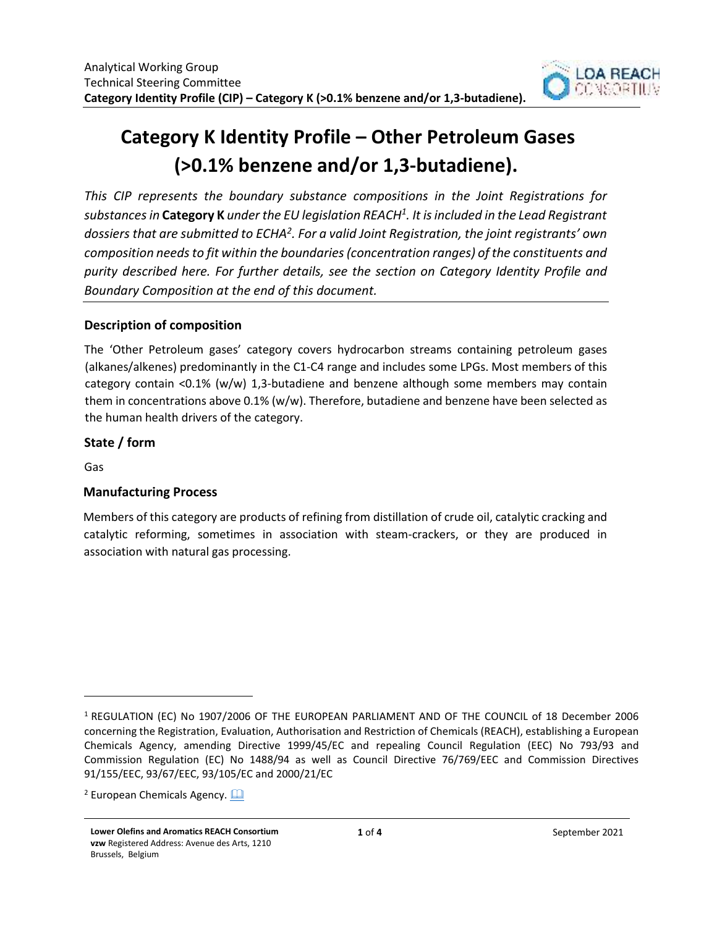

# **Category K Identity Profile – Other Petroleum Gases (>0.1% benzene and/or 1,3-butadiene).**

*This CIP represents the boundary substance compositions in the Joint Registrations for substances in* **Category K** *under the EU legislation REACH<sup>1</sup> . It is included in the Lead Registrant dossiers that are submitted to ECHA<sup>2</sup> . For a valid Joint Registration, the joint registrants' own composition needs to fit within the boundaries (concentration ranges) of the constituents and purity described here. For further details, see the section on Category Identity Profile and Boundary Composition at the end of this document.* 

## **Description of composition**

The 'Other Petroleum gases' category covers hydrocarbon streams containing petroleum gases (alkanes/alkenes) predominantly in the C1-C4 range and includes some LPGs. Most members of this category contain <0.1% (w/w) 1,3-butadiene and benzene although some members may contain them in concentrations above 0.1% (w/w). Therefore, butadiene and benzene have been selected as the human health drivers of the category.

## **State / form**

Gas

## **Manufacturing Process**

Members of this category are products of refining from distillation of crude oil, catalytic cracking and catalytic reforming, sometimes in association with steam-crackers, or they are produced in association with natural gas processing.

<sup>1</sup> REGULATION (EC) No 1907/2006 OF THE EUROPEAN PARLIAMENT AND OF THE COUNCIL of 18 December 2006 concerning the Registration, Evaluation, Authorisation and Restriction of Chemicals (REACH), establishing a European Chemicals Agency, amending Directive 1999/45/EC and repealing Council Regulation (EEC) No 793/93 and Commission Regulation (EC) No 1488/94 as well as Council Directive 76/769/EEC and Commission Directives 91/155/EEC, 93/67/EEC, 93/105/EC and 2000/21/EC

<sup>&</sup>lt;sup>2</sup> European Chemicals Agency. **Quare**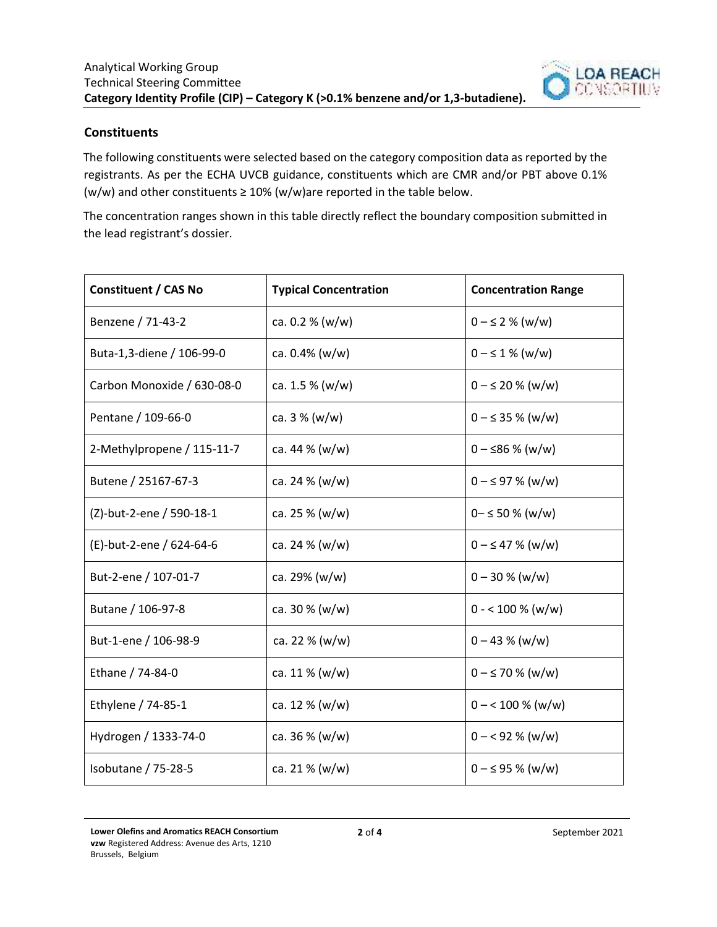

### **Constituents**

The following constituents were selected based on the category composition data as reported by the registrants. As per the ECHA UVCB guidance, constituents which are CMR and/or PBT above 0.1% (w/w) and other constituents  $\geq 10\%$  (w/w)are reported in the table below.

The concentration ranges shown in this table directly reflect the boundary composition submitted in the lead registrant's dossier.

| <b>Constituent / CAS No</b> | <b>Typical Concentration</b> | <b>Concentration Range</b> |
|-----------------------------|------------------------------|----------------------------|
| Benzene / 71-43-2           | ca. $0.2 % (w/w)$            | $0 - \leq 2$ % (w/w)       |
| Buta-1,3-diene / 106-99-0   | ca. $0.4\%$ (w/w)            | $0 - \leq 1$ % (w/w)       |
| Carbon Monoxide / 630-08-0  | ca. $1.5\%$ (w/w)            | $0 - \le 20 \%$ (w/w)      |
| Pentane / 109-66-0          | ca. $3\%$ (w/w)              | $0 - \leq 35 \%$ (w/w)     |
| 2-Methylpropene / 115-11-7  | ca. 44 % (w/w)               | $0 - \le 86 \%$ (w/w)      |
| Butene / 25167-67-3         | ca. 24 % (w/w)               | $0 - \leq 97 \%$ (w/w)     |
| (Z)-but-2-ene / 590-18-1    | ca. 25 $% (w/w)$             | $0 - \leq 50 \%$ (w/w)     |
| (E)-but-2-ene / 624-64-6    | ca. 24 % (w/w)               | $0 - \leq 47 \%$ (w/w)     |
| But-2-ene / 107-01-7        | ca. 29% (w/w)                | $0 - 30 % (w/w)$           |
| Butane / 106-97-8           | ca. 30 % (w/w)               | $0 - 100 % (w/w)$          |
| But-1-ene / 106-98-9        | ca. 22 $% (w/w)$             | $0 - 43 % (w/w)$           |
| Ethane / 74-84-0            | ca. $11\%$ (w/w)             | $0 - \le 70$ % (w/w)       |
| Ethylene / 74-85-1          | ca. 12 $% (w/w)$             | $0 - 100 \% (w/w)$         |
| Hydrogen / 1333-74-0        | ca. $36\%$ (w/w)             | $0 - 92 % (w/w)$           |
| Isobutane / 75-28-5         | ca. 21 % (w/w)               | $0 - \leq 95$ % (w/w)      |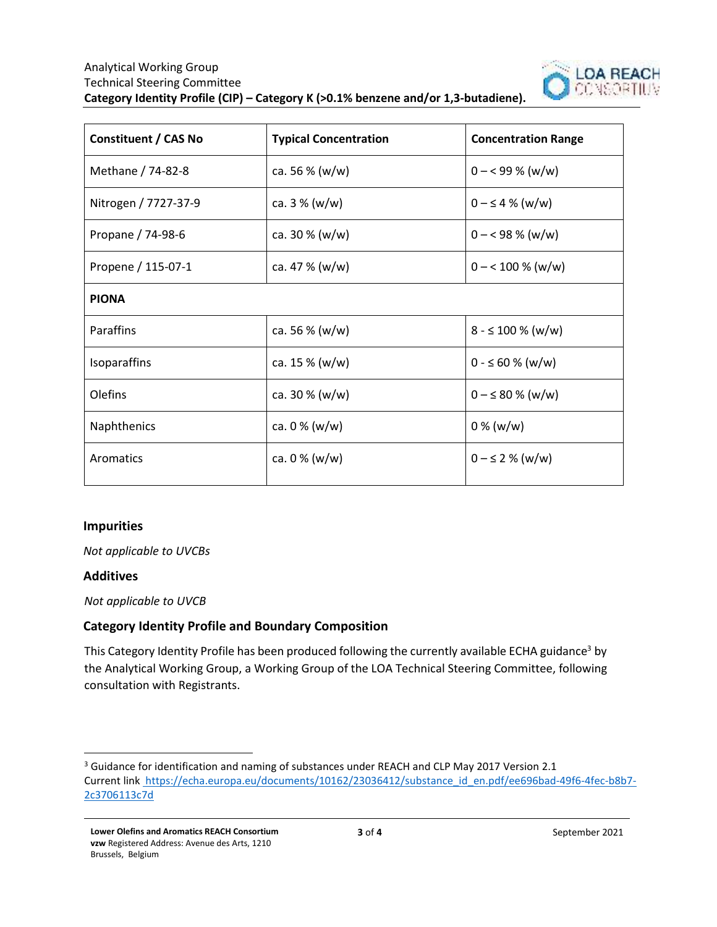

| <b>Typical Concentration</b> | <b>Concentration Range</b> |  |  |
|------------------------------|----------------------------|--|--|
| ca. 56 % (w/w)               | $0 - 99\%$ (w/w)           |  |  |
| ca. 3 % (w/w)                | $0 - \leq 4$ % (w/w)       |  |  |
| ca. 30 $% (w/w)$             | $0 - 98\%$ (w/w)           |  |  |
| ca. 47 % (w/w)               | $0 - 100 % (w/w)$          |  |  |
| <b>PIONA</b>                 |                            |  |  |
| ca. 56 $% (w/w)$             | $8 - 5100 % (w/w)$         |  |  |
| ca. $15\%$ (w/w)             | $0 - 60 % (w/w)$           |  |  |
| ca. 30 % (w/w)               | $0 - \leq 80 \%$ (w/w)     |  |  |
| ca. $0\%$ (w/w)              | $0\%$ (w/w)                |  |  |
| ca. $0\%$ (w/w)              | $0 - \leq 2$ % (w/w)       |  |  |
|                              |                            |  |  |

### **Impurities**

*Not applicable to UVCBs*

#### **Additives**

*Not applicable to UVCB* 

### **Category Identity Profile and Boundary Composition**

This Category Identity Profile has been produced following the currently available ECHA guidance<sup>3</sup> by the Analytical Working Group, a Working Group of the LOA Technical Steering Committee, following consultation with Registrants.

<sup>&</sup>lt;sup>3</sup> Guidance for identification and naming of substances under REACH and CLP May 2017 Version 2.1 Current link https://echa.europa.eu/documents/10162/23036412/substance\_id\_en.pdf/ee696bad-49f6-4fec-b8b7-2c3706113c7d